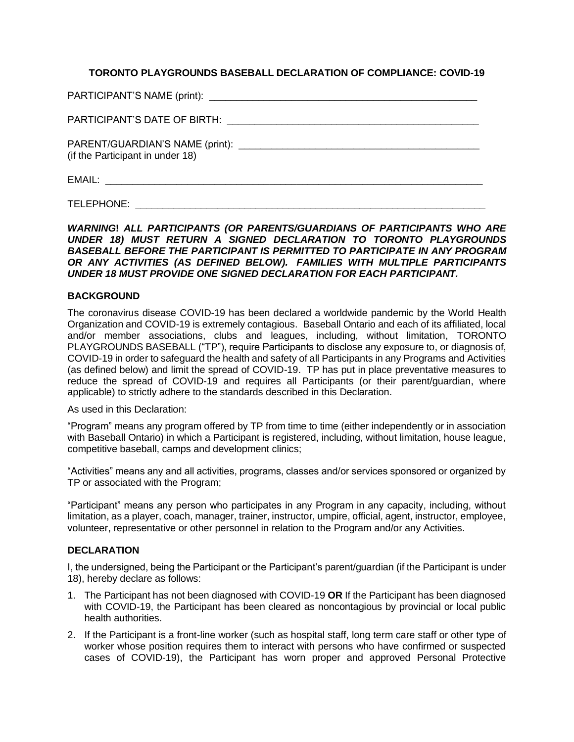## **TORONTO PLAYGROUNDS BASEBALL DECLARATION OF COMPLIANCE: COVID-19**

| (if the Participant in under 18) |
|----------------------------------|
|                                  |

TELEPHONE: \_\_\_\_\_\_\_\_\_\_\_\_\_\_\_\_\_\_\_\_\_\_\_\_\_\_\_\_\_\_\_\_\_\_\_\_\_\_\_\_\_\_\_\_\_\_\_\_\_\_\_\_\_\_\_\_\_\_\_\_\_\_\_\_

*WARNING***!** *ALL PARTICIPANTS (OR PARENTS/GUARDIANS OF PARTICIPANTS WHO ARE UNDER 18) MUST RETURN A SIGNED DECLARATION TO TORONTO PLAYGROUNDS BASEBALL BEFORE THE PARTICIPANT IS PERMITTED TO PARTICIPATE IN ANY PROGRAM OR ANY ACTIVITIES (AS DEFINED BELOW). FAMILIES WITH MULTIPLE PARTICIPANTS UNDER 18 MUST PROVIDE ONE SIGNED DECLARATION FOR EACH PARTICIPANT.*

## **BACKGROUND**

The coronavirus disease COVID-19 has been declared a worldwide pandemic by the World Health Organization and COVID-19 is extremely contagious. Baseball Ontario and each of its affiliated, local and/or member associations, clubs and leagues, including, without limitation, TORONTO PLAYGROUNDS BASEBALL ("TP"), require Participants to disclose any exposure to, or diagnosis of, COVID-19 in order to safeguard the health and safety of all Participants in any Programs and Activities (as defined below) and limit the spread of COVID-19. TP has put in place preventative measures to reduce the spread of COVID-19 and requires all Participants (or their parent/guardian, where applicable) to strictly adhere to the standards described in this Declaration.

## As used in this Declaration:

"Program" means any program offered by TP from time to time (either independently or in association with Baseball Ontario) in which a Participant is registered, including, without limitation, house league, competitive baseball, camps and development clinics;

"Activities" means any and all activities, programs, classes and/or services sponsored or organized by TP or associated with the Program;

"Participant" means any person who participates in any Program in any capacity, including, without limitation, as a player, coach, manager, trainer, instructor, umpire, official, agent, instructor, employee, volunteer, representative or other personnel in relation to the Program and/or any Activities.

## **DECLARATION**

I, the undersigned, being the Participant or the Participant's parent/guardian (if the Participant is under 18), hereby declare as follows:

- 1. The Participant has not been diagnosed with COVID-19 **OR** If the Participant has been diagnosed with COVID-19, the Participant has been cleared as noncontagious by provincial or local public health authorities.
- 2. If the Participant is a front-line worker (such as hospital staff, long term care staff or other type of worker whose position requires them to interact with persons who have confirmed or suspected cases of COVID-19), the Participant has worn proper and approved Personal Protective